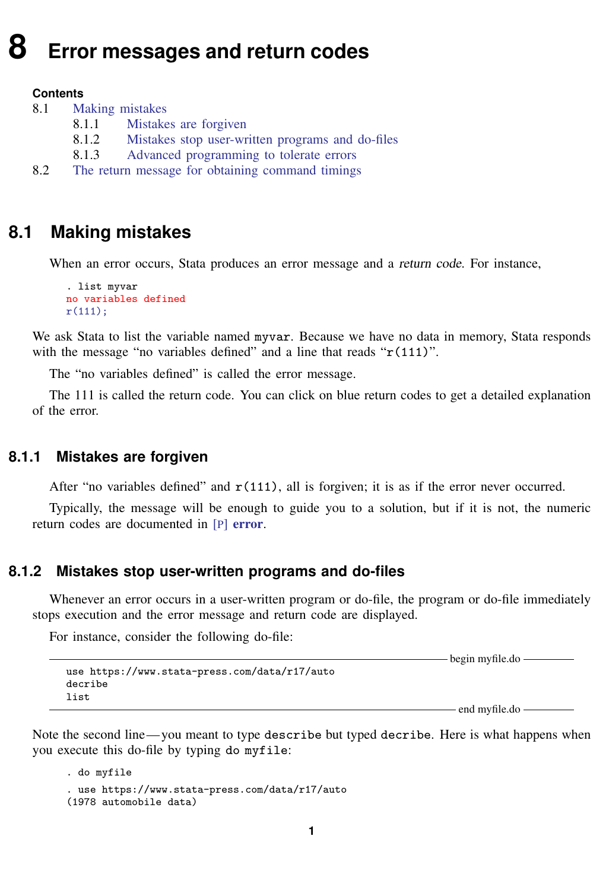# <span id="page-0-3"></span>**8 Error messages and return codes**

#### **Contents**

- 8.1 [Making mistakes](#page-0-0)
	- 8.1.1 [Mistakes are forgiven](#page-0-1)
	- 8.1.2 [Mistakes stop user-written programs and do-files](#page-0-2)
	- 8.1.3 [Advanced programming to tolerate errors](#page-1-0)
- <span id="page-0-0"></span>8.2 [The return message for obtaining command timings](#page-1-1)

# **8.1 Making mistakes**

When an error occurs, Stata produces an error message and a return code. For instance,

```
. list myvar
no variables defined
r(111):
```
We ask Stata to list the variable named myvar. Because we have no data in memory, Stata responds with the message "no variables defined" and a line that reads " $r(111)$ ".

The "no variables defined" is called the error message.

<span id="page-0-1"></span>The 111 is called the return code. You can click on blue return codes to get a detailed explanation of the error.

#### **8.1.1 Mistakes are forgiven**

After "no variables defined" and  $r(111)$ , all is forgiven; it is as if the error never occurred.

<span id="page-0-2"></span>Typically, the message will be enough to guide you to a solution, but if it is not, the numeric return codes are documented in [P] [error](https://www.stata.com/manuals/perror.pdf#perror).

## **8.1.2 Mistakes stop user-written programs and do-files**

Whenever an error occurs in a user-written program or do-file, the program or do-file immediately stops execution and the error message and return code are displayed.

For instance, consider the following do-file:

```
use https://www.stata-press.com/data/r17/auto
decribe
list
```
 $-$  end myfile.do  $-$ 

begin myfile.do

Note the second line— you meant to type describe but typed decribe. Here is what happens when you execute this do-file by typing do myfile:

```
. do myfile
. use https://www.stata-press.com/data/r17/auto
(1978 automobile data)
```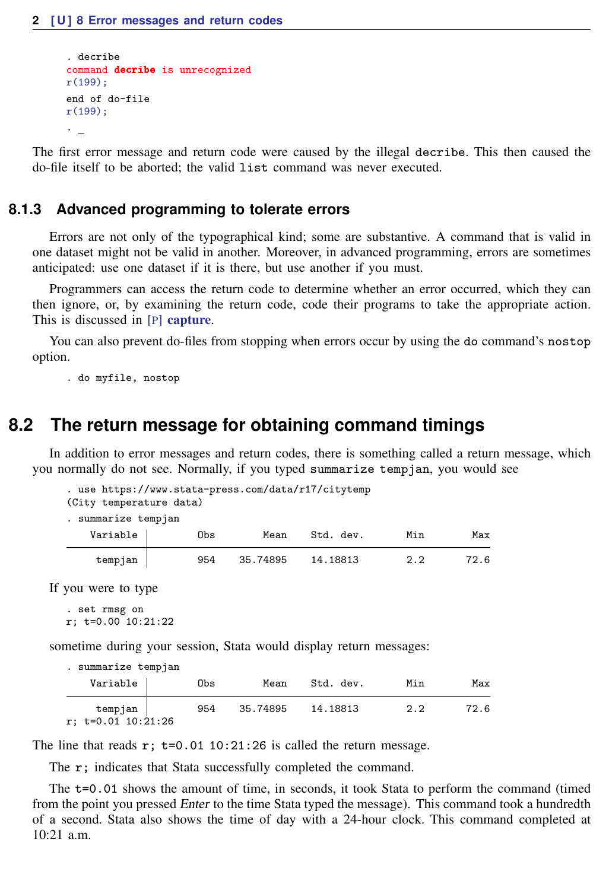```
. decribe
command decribe is unrecognized
r(199);
end of do-file
r(199);
.
```
<span id="page-1-0"></span>The first error message and return code were caused by the illegal decribe. This then caused the do-file itself to be aborted; the valid list command was never executed.

### **8.1.3 Advanced programming to tolerate errors**

Errors are not only of the typographical kind; some are substantive. A command that is valid in one dataset might not be valid in another. Moreover, in advanced programming, errors are sometimes anticipated: use one dataset if it is there, but use another if you must.

Programmers can access the return code to determine whether an error occurred, which they can then ignore, or, by examining the return code, code their programs to take the appropriate action. This is discussed in [P] [capture](https://www.stata.com/manuals/pcapture.pdf#pcapture).

You can also prevent do-files from stopping when errors occur by using the do command's nostop option.

<span id="page-1-1"></span>. do myfile, nostop

# **8.2 The return message for obtaining command timings**

In addition to error messages and return codes, there is something called a return message, which you normally do not see. Normally, if you typed summarize tempjan, you would see

```
. use https://www.stata-press.com/data/r17/citytemp
(City temperature data)
. summarize tempjan
   Variable Obs Mean Std. dev. Min Max
   tempjan 954 35.74895 14.18813 2.2 72.6
```
If you were to type

```
. set rmsg on
r; t=0.00 10:21:22
```
sometime during your session, Stata would display return messages:

. summarize tempjan

| Variable                          | Obs | Mean     | Std. dev. | Min | Max  |
|-----------------------------------|-----|----------|-----------|-----|------|
| tempjan  <br>$r; t=0.01 10:21:26$ | 954 | 35.74895 | 14.18813  | 2.2 | 72.6 |

The line that reads  $r$ ;  $t=0.01$  10:21:26 is called the return message.

The r; indicates that Stata successfully completed the command.

The t=0.01 shows the amount of time, in seconds, it took Stata to perform the command (timed from the point you pressed *Enter* to the time Stata typed the message). This command took a hundredth of a second. Stata also shows the time of day with a 24-hour clock. This command completed at  $10.21$  a.m.